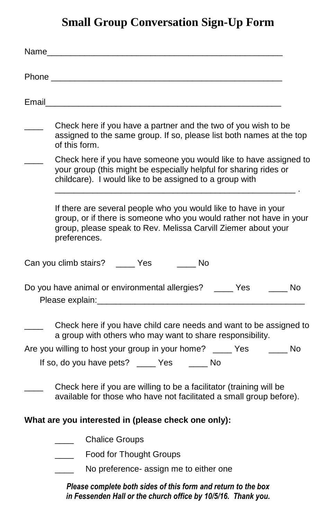# **Small Group Conversation Sign-Up Form**

|       | Name and the contract of the contract of the contract of the contract of the contract of the contract of the contract of the contract of the contract of the contract of the contract of the contract of the contract of the c |  |
|-------|--------------------------------------------------------------------------------------------------------------------------------------------------------------------------------------------------------------------------------|--|
|       | Phone <b>Phone Phone Phone Phone Phone</b>                                                                                                                                                                                     |  |
| Email |                                                                                                                                                                                                                                |  |
|       | Check here if you have a partner and the two of you wish to be<br>assigned to the same group. If so, please list both names at the top<br>of this form.                                                                        |  |
|       | Check here if you have someone you would like to have assigned to<br>your group (this might be especially helpful for sharing rides or<br>childcare). I would like to be assigned to a group with                              |  |
|       | If there are several people who you would like to have in your<br>group, or if there is someone who you would rather not have in your<br>group, please speak to Rev. Melissa Carvill Ziemer about your<br>preferences.         |  |
|       | Can you climb stairs? _____ Yes<br><b>No</b>                                                                                                                                                                                   |  |
|       | Do you have animal or environmental allergies? ____ Yes ____ No<br>Please explain: Management of Please explaint:                                                                                                              |  |
|       | Check here if you have child care needs and want to be assigned to<br>a group with others who may want to share responsibility.                                                                                                |  |
|       | Are you willing to host your group in your home? _____ Yes ______ No                                                                                                                                                           |  |
|       | If so, do you have pets? _____ Yes ______ No                                                                                                                                                                                   |  |
|       | Check here if you are willing to be a facilitator (training will be<br>available for those who have not facilitated a small group before).                                                                                     |  |
|       | What are you interested in (please check one only):                                                                                                                                                                            |  |
|       | <b>Chalice Groups</b>                                                                                                                                                                                                          |  |
|       | Food for Thought Groups                                                                                                                                                                                                        |  |
|       | No preference- assign me to either one                                                                                                                                                                                         |  |
|       | Please complete both sides of this form and return to the box<br>in Fessenden Hall or the church office by 10/5/16. Thank you.                                                                                                 |  |